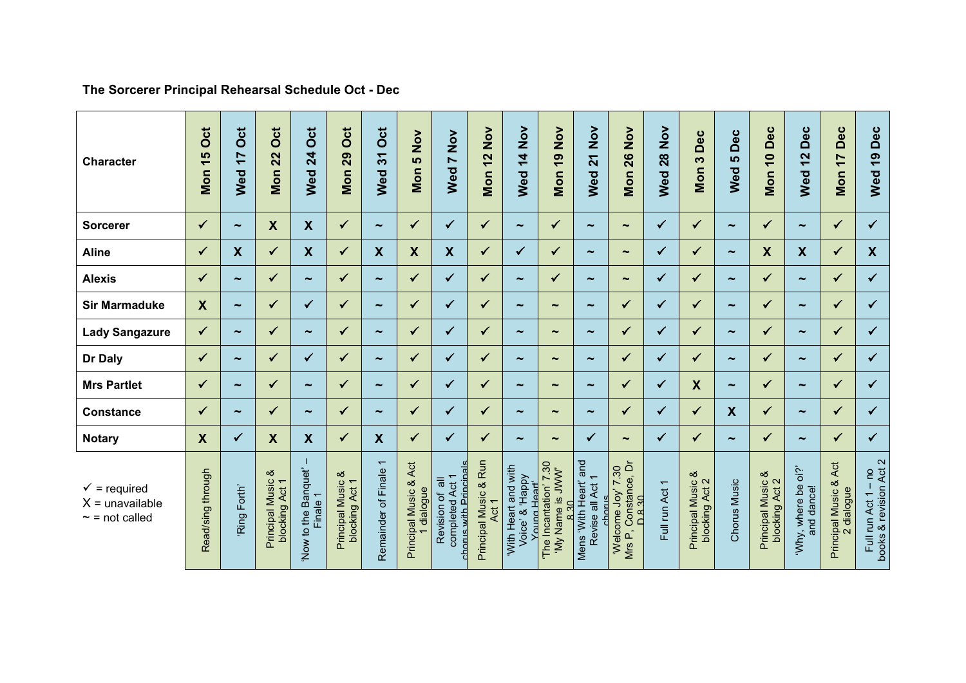## **The Sorcerer Principal Rehearsal Schedule Oct - Dec**

| <b>Character</b>                                                    | ö<br>$\frac{5}{1}$<br>Mon | Oct<br>$\overline{1}$<br>Wed | Oct<br>22<br>Mon                       | Oct<br>24<br>Wed                | Oct<br>29<br>Mon                         | Oct<br>Wed 31             | $\frac{5}{2}$<br><b>LC</b><br>Mon    | $\sum_{i=1}^{n}$<br>$\blacktriangleright$<br>Wed                       | $\sum_{i=1}^{n}$<br>12<br>Mon  | Nov<br>$\frac{4}{1}$<br>Wed                                                 | $\mathsf{X}^{\mathsf{S}}$<br><b>0</b><br>Mon    | $\frac{5}{2}$<br>$\overline{21}$<br>Wed                | $\mathsf{X}^{\mathsf{S}}$<br>26<br>Mon                                                 | $\frac{8}{2}$<br><b>Wed 28</b> | Dec<br>$\boldsymbol{\omega}$<br>Mon                             | Dec<br><b>LC</b><br>Wed   | Dec<br>$\overline{10}$<br>Mon                            | Dec<br>$\mathbf{\Omega}$<br>$\overline{ }$<br>Wed | Dec<br>$\overline{17}$<br>Mon                  | Dec<br>Wed 19                                                                                          |
|---------------------------------------------------------------------|---------------------------|------------------------------|----------------------------------------|---------------------------------|------------------------------------------|---------------------------|--------------------------------------|------------------------------------------------------------------------|--------------------------------|-----------------------------------------------------------------------------|-------------------------------------------------|--------------------------------------------------------|----------------------------------------------------------------------------------------|--------------------------------|-----------------------------------------------------------------|---------------------------|----------------------------------------------------------|---------------------------------------------------|------------------------------------------------|--------------------------------------------------------------------------------------------------------|
| <b>Sorcerer</b>                                                     | $\checkmark$              | $\tilde{\phantom{a}}$        | $\boldsymbol{\mathsf{X}}$              | $\boldsymbol{\mathsf{X}}$       | $\checkmark$                             | $\tilde{\phantom{a}}$     | ✓                                    | $\checkmark$                                                           | $\checkmark$                   | $\tilde{\phantom{a}}$                                                       | $\checkmark$                                    | $\tilde{\phantom{a}}$                                  | $\tilde{\phantom{a}}$                                                                  | $\checkmark$                   | $\checkmark$                                                    | $\sim$                    | ✔                                                        | $\tilde{\phantom{a}}$                             | $\checkmark$                                   | $\checkmark$                                                                                           |
| <b>Aline</b>                                                        | $\checkmark$              | $\boldsymbol{\mathsf{X}}$    | $\checkmark$                           | $\boldsymbol{X}$                | $\checkmark$                             | $\boldsymbol{\mathsf{X}}$ | $\boldsymbol{X}$                     | $\boldsymbol{\mathsf{X}}$                                              | ✓                              | ✓                                                                           | $\checkmark$                                    | $\tilde{\phantom{a}}$                                  | $\tilde{\phantom{a}}$                                                                  | $\checkmark$                   | $\checkmark$                                                    | $\tilde{\phantom{a}}$     | $\boldsymbol{X}$                                         | $\boldsymbol{X}$                                  | $\checkmark$                                   | $\boldsymbol{X}$                                                                                       |
| <b>Alexis</b>                                                       |                           | $\tilde{\phantom{a}}$        | $\checkmark$                           | $\tilde{\phantom{m}}$           | $\checkmark$                             | $\tilde{\phantom{a}}$     | ✓                                    | ✓                                                                      | ✓                              | $\tilde{\phantom{a}}$                                                       | $\checkmark$                                    | $\tilde{\phantom{a}}$                                  | $\tilde{\phantom{a}}$                                                                  | ✓                              | ✓                                                               | $\tilde{\phantom{a}}$     | ✓                                                        | $\tilde{\phantom{a}}$                             | ✔                                              | $\checkmark$                                                                                           |
| <b>Sir Marmaduke</b>                                                | $\boldsymbol{X}$          | $\tilde{\phantom{a}}$        | $\checkmark$                           | $\checkmark$                    |                                          | $\tilde{\phantom{a}}$     | ✓                                    | ✓                                                                      | ✓                              | $\tilde{}$                                                                  | $\tilde{\phantom{a}}$                           | $\tilde{\phantom{a}}$                                  | $\checkmark$                                                                           | $\checkmark$                   | $\checkmark$                                                    | $\tilde{\phantom{a}}$     | ✓                                                        | $\tilde{}$                                        | ✓                                              | $\checkmark$                                                                                           |
| <b>Lady Sangazure</b>                                               | $\checkmark$              | $\tilde{\phantom{a}}$        | $\checkmark$                           | $\sim$                          | ✓                                        | $\tilde{\phantom{a}}$     | ✓                                    | $\checkmark$                                                           | $\checkmark$                   | ÷                                                                           | $\tilde{\phantom{a}}$                           | $\tilde{\phantom{a}}$                                  | $\checkmark$                                                                           | $\checkmark$                   | ✓                                                               | $\tilde{\phantom{a}}$     | ✓                                                        | $\tilde{\phantom{a}}$                             | ✓                                              | $\checkmark$                                                                                           |
| Dr Daly                                                             | ✓                         | $\tilde{\phantom{a}}$        | ✓                                      | ✓                               | $\checkmark$                             | $\tilde{\phantom{a}}$     | ✓                                    | ✓                                                                      | $\checkmark$                   | $\tilde{}$                                                                  | $\tilde{\phantom{a}}$                           | $\tilde{}$                                             | $\checkmark$                                                                           | $\checkmark$                   | ✓                                                               | $\tilde{\phantom{a}}$     | ✓                                                        | $\tilde{\phantom{a}}$                             | ✓                                              | $\checkmark$                                                                                           |
| <b>Mrs Partlet</b>                                                  | $\checkmark$              | $\tilde{\phantom{a}}$        | $\checkmark$                           | $\sim$                          |                                          | $\tilde{\phantom{a}}$     | ✓                                    | ✓                                                                      | ✔                              | $\tilde{\phantom{a}}$                                                       | $\tilde{\phantom{a}}$                           | $\tilde{\phantom{a}}$                                  | $\checkmark$                                                                           | ✓                              | $\boldsymbol{\mathsf{X}}$                                       | $\tilde{\phantom{a}}$     | ✓                                                        | $\tilde{\phantom{a}}$                             | ✓                                              | $\checkmark$                                                                                           |
| <b>Constance</b>                                                    | ✓                         | $\tilde{\phantom{a}}$        | $\checkmark$                           | $\sim$                          | ✓                                        | $\tilde{\phantom{a}}$     | ✓                                    | ✓                                                                      | ✓                              | $\tilde{}$                                                                  | $\tilde{\phantom{a}}$                           | $\tilde{}$                                             | $\checkmark$                                                                           | ✓                              | $\checkmark$                                                    | $\boldsymbol{\mathsf{X}}$ | ✓                                                        | $\tilde{}$                                        | ✓                                              | $\checkmark$                                                                                           |
| <b>Notary</b>                                                       | $\boldsymbol{X}$          | $\checkmark$                 | X                                      | $\boldsymbol{\mathsf{X}}$       | ✓                                        | X                         | ✓                                    | ✓                                                                      | $\checkmark$                   | $\tilde{}$                                                                  | $\tilde{\phantom{a}}$                           | ✓                                                      | $\tilde{\phantom{a}}$                                                                  | $\checkmark$                   | ✓                                                               | $\tilde{\phantom{a}}$     | ✓                                                        | $\tilde{}$                                        | ✓                                              | $\checkmark$                                                                                           |
| $\checkmark$ = required<br>$X =$ unavailable<br>$\sim$ = not called | Read/sing through         | Ring Forth'                  | ಹ<br>Principal Music<br>blocking Act 1 | Now to the Banquet'<br>Finale 1 | ಹ<br>Principal Music &<br>blocking Act 1 | Remainder of Finale 1     | Act<br>Principal Music &<br>dialogue | completed Act 1<br>with Princin<br>$\equiv$<br>Revision of<br>$h$ orus | Principal Music & Run<br>Act 1 | With Heart and with<br>Voice' & 'Happy<br>Hear <sup>1</sup><br><b>Nauna</b> | 'The Incantation' 7.30<br>'My Name is JWW'<br>Ξ | and<br>Revise all Act 1<br>Mens 'With Heart'<br>chorus | Constance, Dr<br>'Welcome Joy' 7.30<br>$\overline{R}$ 8.0<br>$\hat{\mathbf{r}}$<br>Mrs | Full run Act 1                 | య<br>Principal Music &<br><b>Alocking Act 2</b><br>blocking Act | Chorus Music              | ళ<br>Principal Music &<br>blocking Act 2<br>blocking Act | oi?<br>'Why, where be<br>and dance!               | Act<br>Principal Music &<br>dialogue<br>$\sim$ | Full run Act 1 – no<br>books & revision Act 2<br>$\overline{\phantom{0}}$<br>run Act<br>$\overline{E}$ |